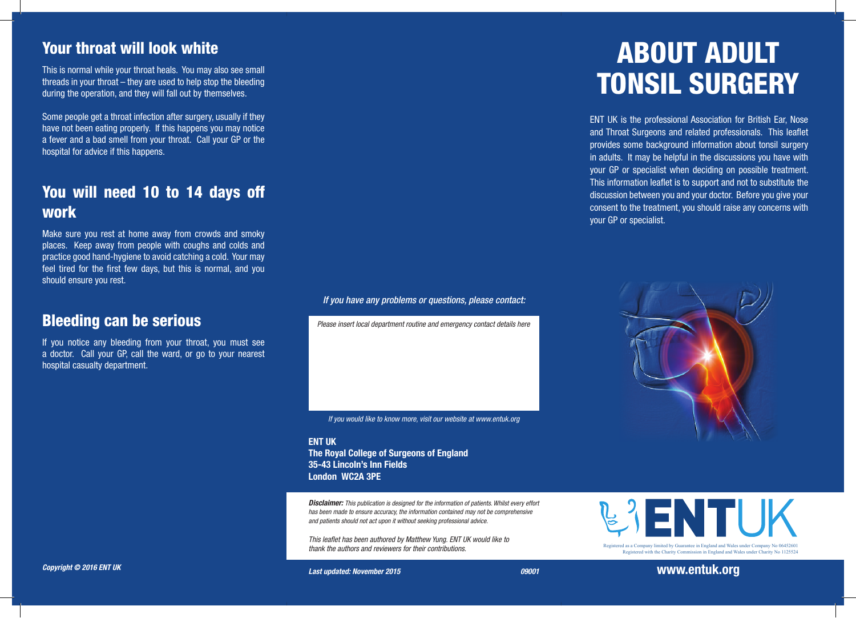#### Your throat will look white

This is normal while your throat heals. You may also see small threads in your throat – they are used to help stop the bleeding during the operation, and they will fall out by themselves.

Some people get a throat infection after surgery, usually if they have not been eating properly. If this happens you may notice a fever and a bad smell from your throat. Call your GP or the hospital for advice if this happens.

## You will need 10 to 14 days off work

Make sure you rest at home away from crowds and smoky places. Keep away from people with coughs and colds and practice good hand-hygiene to avoid catching a cold. Your may feel tired for the first few days, but this is normal, and you should ensure you rest.

#### Bleeding can be serious

If you notice any bleeding from your throat, you must see a doctor. Call your GP, call the ward, or go to your nearest hospital casualty department.

*Copyright © 2016 ENT UK* 

*If you have any problems or questions, please contact:*

*Please insert local department routine and emergency contact details here*

*If you would like to know more, visit our website at www.entuk.org*

ENT UK The Royal College of Surgeons of England 35-43 Lincoln's Inn Fields London WC2A 3PE

*Disclaimer: This publication is designed for the information of patients. Whilst every effort has been made to ensure accuracy, the information contained may not be comprehensive and patients should not act upon it without seeking professional advice.* 

*This leaflet has been authored by Matthew Yung. ENT UK would like to thank the authors and reviewers for their contributions.* 

# ABOUT ADULT TONSIL SURGERY

ENT UK is the professional Association for British Ear, Nose and Throat Surgeons and related professionals. This leaflet provides some background information about tonsil surgery in adults. It may be helpful in the discussions you have with your GP or specialist when deciding on possible treatment. This information leaflet is to support and not to substitute the discussion between you and your doctor. Before you give your consent to the treatment, you should raise any concerns with your GP or specialist.



ENTI IK Registered as a Company limited by Guarantee in England and Wales under Company No 06452601

Registered with the Charity Commission in England and Wales under Charity No 1125524

Registered as a Company limited by Guarantee in England and Wales under Company No 06452601

*Last updated: November 2015 09001*

www.entuk.org with the Charity Commission in England and Wales under Charity No 1